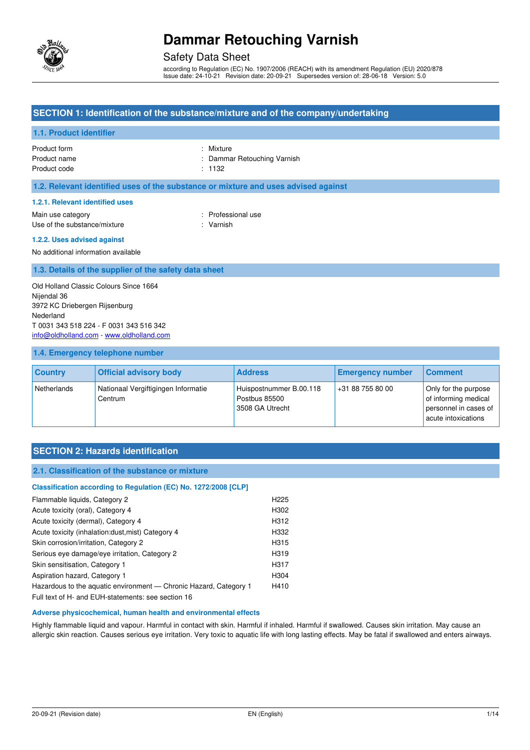

## Safety Data Sheet

according to Regulation (EC) No. 1907/2006 (REACH) with its amendment Regulation (EU) 2020/878 Issue date: 24-10-21 Revision date: 20-09-21 Supersedes version of: 28-06-18 Version: 5.0

### **SECTION 1: Identification of the substance/mixture and of the company/undertaking**

### **1.1. Product identifier**

| Product form |  |
|--------------|--|
| Product name |  |
| Product code |  |

: Mixture : Dammar Retouching Varnish

 $: 1132$ 

### **1.2. Relevant identified uses of the substance or mixture and uses advised against**

#### **1.2.1. Relevant identified uses**

Main use category **Example 20** and the Main use category **in the Contract of Contract 20 and 10** and 10 and 10 and 10 and 10 and 10 and 10 and 10 and 10 and 10 and 10 and 10 and 10 and 10 and 10 and 10 and 10 and 10 and 10 Use of the substance/mixture : Varnish

#### **1.2.2. Uses advised against**

No additional information available

#### **1.3. Details of the supplier of the safety data sheet**

Old Holland Classic Colours Since 1664 Nijendal 36 3972 KC Driebergen Rijsenburg Nederland T 0031 343 518 224 - F 0031 343 516 342 [info@oldholland.com](mailto:info@oldholland.com) - [www.oldholland.com](http://www.oldholland.com/)

#### **1.4. Emergency telephone number**

| <b>Country</b> | <b>Official advisory body</b>                  | <b>Address</b>                                              | <b>Emergency number</b> | <b>Comment</b>                                                                               |
|----------------|------------------------------------------------|-------------------------------------------------------------|-------------------------|----------------------------------------------------------------------------------------------|
| Netherlands    | Nationaal Vergiftigingen Informatie<br>Centrum | Huispostnummer B.00.118<br>Postbus 85500<br>3508 GA Utrecht | +31 88 755 80 00        | Only for the purpose<br>of informing medical<br>personnel in cases of<br>acute intoxications |

## **SECTION 2: Hazards identification**

#### **2.1. Classification of the substance or mixture**

## **Classification according to Regulation (EC) No. 1272/2008 [CLP]**  Flammable liquids, Category 2 **H225** Acute toxicity (oral), Category 4 H302 Acute toxicity (dermal), Category 4 H312 Acute toxicity (inhalation:dust,mist) Category 4 H332 Skin corrosion/irritation, Category 2 H315 Serious eye damage/eye irritation, Category 2 H319 Skin sensitisation, Category 1 H317 Aspiration hazard, Category 1 H304 Hazardous to the aquatic environment - Chronic Hazard, Category 1 H410

Full text of H- and EUH-statements: see section 16

#### **Adverse physicochemical, human health and environmental effects**

Highly flammable liquid and vapour. Harmful in contact with skin. Harmful if inhaled. Harmful if swallowed. Causes skin irritation. May cause an allergic skin reaction. Causes serious eye irritation. Very toxic to aquatic life with long lasting effects. May be fatal if swallowed and enters airways.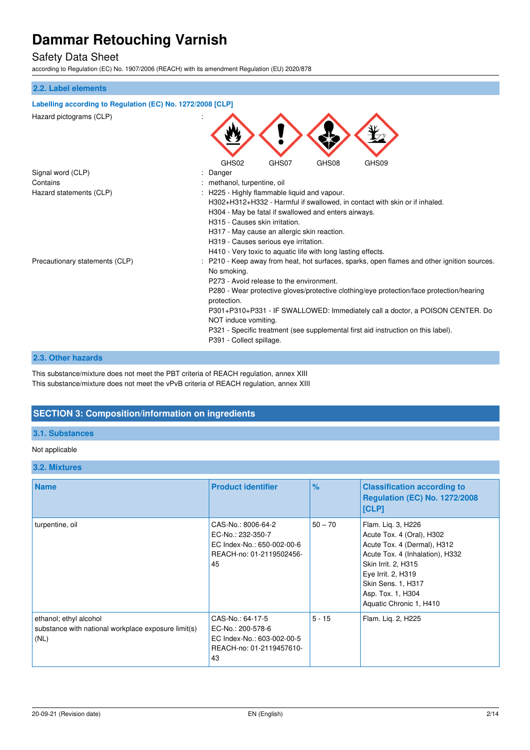## Safety Data Sheet

according to Regulation (EC) No. 1907/2006 (REACH) with its amendment Regulation (EU) 2020/878

## **2.2. Label elements**

| Labelling according to Regulation (EC) No. 1272/2008 [CLP] |                                                                                                                                    |  |  |
|------------------------------------------------------------|------------------------------------------------------------------------------------------------------------------------------------|--|--|
| Hazard pictograms (CLP)                                    |                                                                                                                                    |  |  |
| Signal word (CLP)                                          | GHS02<br>GHS07<br>GHS08<br>GHS09<br>Danger                                                                                         |  |  |
| Contains                                                   |                                                                                                                                    |  |  |
| Hazard statements (CLP)                                    | methanol, turpentine, oil                                                                                                          |  |  |
|                                                            | H225 - Highly flammable liquid and vapour.                                                                                         |  |  |
|                                                            | H302+H312+H332 - Harmful if swallowed, in contact with skin or if inhaled.<br>H304 - May be fatal if swallowed and enters airways. |  |  |
|                                                            | H315 - Causes skin irritation.                                                                                                     |  |  |
|                                                            |                                                                                                                                    |  |  |
|                                                            | H317 - May cause an allergic skin reaction.<br>H319 - Causes serious eye irritation.                                               |  |  |
|                                                            | H410 - Very toxic to aquatic life with long lasting effects.                                                                       |  |  |
| Precautionary statements (CLP)                             | P210 - Keep away from heat, hot surfaces, sparks, open flames and other ignition sources.                                          |  |  |
|                                                            | No smoking.                                                                                                                        |  |  |
|                                                            | P273 - Avoid release to the environment.                                                                                           |  |  |
|                                                            | P280 - Wear protective gloves/protective clothing/eye protection/face protection/hearing                                           |  |  |
|                                                            | protection.                                                                                                                        |  |  |
|                                                            | P301+P310+P331 - IF SWALLOWED: Immediately call a doctor, a POISON CENTER. Do                                                      |  |  |
|                                                            | NOT induce vomiting.                                                                                                               |  |  |
|                                                            | P321 - Specific treatment (see supplemental first aid instruction on this label).                                                  |  |  |
|                                                            | P391 - Collect spillage.                                                                                                           |  |  |
|                                                            |                                                                                                                                    |  |  |

#### **2.3. Other hazards**

This substance/mixture does not meet the PBT criteria of REACH regulation, annex XIII This substance/mixture does not meet the vPvB criteria of REACH regulation, annex XIII

## **SECTION 3: Composition/information on ingredients**

## **3.1. Substances**

#### Not applicable

### **3.2. Mixtures**

| <b>Name</b>                                                                           | <b>Product identifier</b>                                                                               | $\%$      | <b>Classification according to</b><br><b>Regulation (EC) No. 1272/2008</b><br>[CLP]                                                                                                                                                  |
|---------------------------------------------------------------------------------------|---------------------------------------------------------------------------------------------------------|-----------|--------------------------------------------------------------------------------------------------------------------------------------------------------------------------------------------------------------------------------------|
| turpentine, oil                                                                       | CAS-No.: 8006-64-2<br>EC-No.: 232-350-7<br>EC Index-No.: 650-002-00-6<br>REACH-no: 01-2119502456-<br>45 | $50 - 70$ | Flam. Lig. 3, H226<br>Acute Tox. 4 (Oral), H302<br>Acute Tox. 4 (Dermal), H312<br>Acute Tox. 4 (Inhalation), H332<br>Skin Irrit. 2, H315<br>Eye Irrit. 2, H319<br>Skin Sens. 1, H317<br>Asp. Tox. 1, H304<br>Aquatic Chronic 1, H410 |
| ethanol; ethyl alcohol<br>substance with national workplace exposure limit(s)<br>(NL) | CAS-No.: 64-17-5<br>EC-No.: 200-578-6<br>EC Index-No.: 603-002-00-5<br>REACH-no: 01-2119457610-<br>43   | $5 - 15$  | Flam. Lig. 2, H225                                                                                                                                                                                                                   |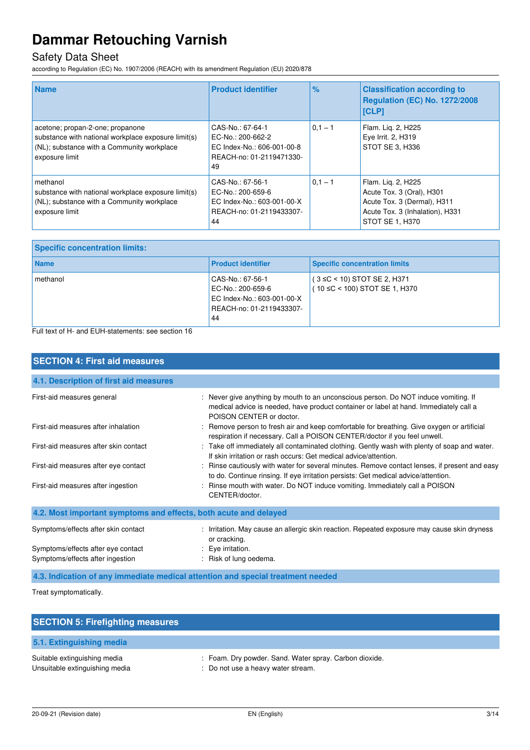## Safety Data Sheet

according to Regulation (EC) No. 1907/2006 (REACH) with its amendment Regulation (EU) 2020/878

| <b>Name</b>                                                                                                                                             | <b>Product identifier</b>                                                                             | %         | <b>Classification according to</b><br><b>Regulation (EC) No. 1272/2008</b><br><b>ICLP1</b>                                           |
|---------------------------------------------------------------------------------------------------------------------------------------------------------|-------------------------------------------------------------------------------------------------------|-----------|--------------------------------------------------------------------------------------------------------------------------------------|
| acetone; propan-2-one; propanone<br>substance with national workplace exposure limit(s)<br>(NL); substance with a Community workplace<br>exposure limit | CAS-No.: 67-64-1<br>EC-No.: 200-662-2<br>EC Index-No.: 606-001-00-8<br>REACH-no: 01-2119471330-<br>49 | $0.1 - 1$ | Flam. Lig. 2, H225<br>Eye Irrit. 2, H319<br>STOT SE 3, H336                                                                          |
| methanol<br>substance with national workplace exposure limit(s)<br>(NL); substance with a Community workplace<br>exposure limit                         | CAS-No.: 67-56-1<br>EC-No.: 200-659-6<br>EC Index-No.: 603-001-00-X<br>REACH-no: 01-2119433307-<br>44 | $0,1 - 1$ | Flam. Lig. 2, H225<br>Acute Tox. 3 (Oral), H301<br>Acute Tox. 3 (Dermal), H311<br>Acute Tox. 3 (Inhalation), H331<br>STOT SE 1, H370 |

| <b>Specific concentration limits:</b> |                                                                                                       |                                                                          |
|---------------------------------------|-------------------------------------------------------------------------------------------------------|--------------------------------------------------------------------------|
| <b>Name</b>                           | <b>Product identifier</b>                                                                             | <b>Specific concentration limits</b>                                     |
| methanol                              | CAS-No.: 67-56-1<br>EC-No.: 200-659-6<br>EC Index-No.: 603-001-00-X<br>REACH-no: 01-2119433307-<br>44 | $(3 \leq C < 10)$ STOT SE 2, H371<br>$(10 \leq C < 100)$ STOT SE 1, H370 |

Full text of H- and EUH-statements: see section 16

| <b>SECTION 4: First aid measures</b>                                            |                                                                                                                                                                                                          |
|---------------------------------------------------------------------------------|----------------------------------------------------------------------------------------------------------------------------------------------------------------------------------------------------------|
| 4.1. Description of first aid measures                                          |                                                                                                                                                                                                          |
| First-aid measures general                                                      | : Never give anything by mouth to an unconscious person. Do NOT induce vomiting. If<br>medical advice is needed, have product container or label at hand. Immediately call a<br>POISON CENTER or doctor. |
| First-aid measures after inhalation                                             | : Remove person to fresh air and keep comfortable for breathing. Give oxygen or artificial<br>respiration if necessary. Call a POISON CENTER/doctor if you feel unwell.                                  |
| First-aid measures after skin contact                                           | : Take off immediately all contaminated clothing. Gently wash with plenty of soap and water.<br>If skin irritation or rash occurs: Get medical advice/attention.                                         |
| First-aid measures after eye contact                                            | : Rinse cautiously with water for several minutes. Remove contact lenses, if present and easy<br>to do. Continue rinsing. If eye irritation persists: Get medical advice/attention.                      |
| First-aid measures after ingestion                                              | : Rinse mouth with water. Do NOT induce vomiting. Immediately call a POISON<br>CENTER/doctor.                                                                                                            |
| 4.2. Most important symptoms and effects, both acute and delayed                |                                                                                                                                                                                                          |
| Symptoms/effects after skin contact                                             | : Irritation. May cause an allergic skin reaction. Repeated exposure may cause skin dryness<br>or cracking.                                                                                              |
| Symptoms/effects after eye contact                                              | : Eye irritation.                                                                                                                                                                                        |
| Symptoms/effects after ingestion                                                | : Risk of lung oedema.                                                                                                                                                                                   |
| 4.3. Indication of any immediate medical attention and special treatment needed |                                                                                                                                                                                                          |

Treat symptomatically.

| <b>SECTION 5: Firefighting measures</b>                        |                                                                                              |
|----------------------------------------------------------------|----------------------------------------------------------------------------------------------|
| 5.1. Extinguishing media                                       |                                                                                              |
| Suitable extinguishing media<br>Unsuitable extinguishing media | : Foam. Dry powder. Sand. Water spray. Carbon dioxide.<br>: Do not use a heavy water stream. |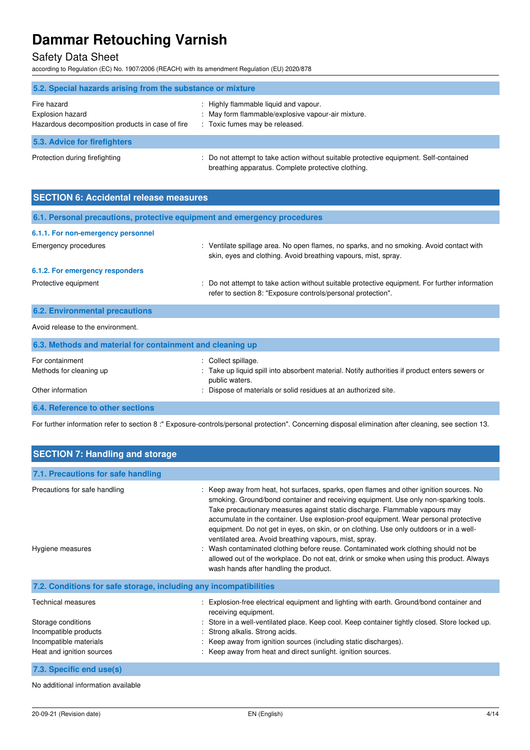## Safety Data Sheet

according to Regulation (EC) No. 1907/2006 (REACH) with its amendment Regulation (EU) 2020/878

| 5.2. Special hazards arising from the substance or mixture                          |                                                                                                                                             |  |
|-------------------------------------------------------------------------------------|---------------------------------------------------------------------------------------------------------------------------------------------|--|
| Fire hazard<br>Explosion hazard<br>Hazardous decomposition products in case of fire | : Highly flammable liquid and vapour.<br>: May form flammable/explosive vapour-air mixture.<br>: Toxic fumes may be released.               |  |
| 5.3. Advice for firefighters                                                        |                                                                                                                                             |  |
| Protection during firefighting                                                      | : Do not attempt to take action without suitable protective equipment. Self-contained<br>breathing apparatus. Complete protective clothing. |  |

| <b>SECTION 6: Accidental release measures</b>                            |                                                                                                                                                                                                        |
|--------------------------------------------------------------------------|--------------------------------------------------------------------------------------------------------------------------------------------------------------------------------------------------------|
| 6.1. Personal precautions, protective equipment and emergency procedures |                                                                                                                                                                                                        |
| 6.1.1. For non-emergency personnel                                       |                                                                                                                                                                                                        |
| Emergency procedures                                                     | : Ventilate spillage area. No open flames, no sparks, and no smoking. Avoid contact with<br>skin, eyes and clothing. Avoid breathing vapours, mist, spray.                                             |
| 6.1.2. For emergency responders                                          |                                                                                                                                                                                                        |
| Protective equipment                                                     | : Do not attempt to take action without suitable protective equipment. For further information<br>refer to section 8: "Exposure controls/personal protection".                                         |
| <b>6.2. Environmental precautions</b>                                    |                                                                                                                                                                                                        |
| Avoid release to the environment.                                        |                                                                                                                                                                                                        |
| 6.3. Methods and material for containment and cleaning up                |                                                                                                                                                                                                        |
| For containment<br>Methods for cleaning up<br>Other information          | : Collect spillage.<br>Take up liquid spill into absorbent material. Notify authorities if product enters sewers or<br>public waters.<br>Dispose of materials or solid residues at an authorized site. |
| 6.4. Reference to other sections                                         |                                                                                                                                                                                                        |

For further information refer to section 8 :" Exposure-controls/personal protection". Concerning disposal elimination after cleaning, see section 13.

| <b>SECTION 7: Handling and storage</b>                                                                                          |                                                                                                                                                                                                                                                                                                                                                                                                                                                                                                                                                                                                                                                                                                                                        |
|---------------------------------------------------------------------------------------------------------------------------------|----------------------------------------------------------------------------------------------------------------------------------------------------------------------------------------------------------------------------------------------------------------------------------------------------------------------------------------------------------------------------------------------------------------------------------------------------------------------------------------------------------------------------------------------------------------------------------------------------------------------------------------------------------------------------------------------------------------------------------------|
| 7.1. Precautions for safe handling                                                                                              |                                                                                                                                                                                                                                                                                                                                                                                                                                                                                                                                                                                                                                                                                                                                        |
| Precautions for safe handling<br>Hygiene measures                                                                               | : Keep away from heat, hot surfaces, sparks, open flames and other ignition sources. No<br>smoking. Ground/bond container and receiving equipment. Use only non-sparking tools.<br>Take precautionary measures against static discharge. Flammable vapours may<br>accumulate in the container. Use explosion-proof equipment. Wear personal protective<br>equipment. Do not get in eyes, on skin, or on clothing. Use only outdoors or in a well-<br>ventilated area. Avoid breathing vapours, mist, spray.<br>Wash contaminated clothing before reuse. Contaminated work clothing should not be<br>allowed out of the workplace. Do not eat, drink or smoke when using this product. Always<br>wash hands after handling the product. |
| 7.2. Conditions for safe storage, including any incompatibilities                                                               |                                                                                                                                                                                                                                                                                                                                                                                                                                                                                                                                                                                                                                                                                                                                        |
| <b>Technical measures</b><br>Storage conditions<br>Incompatible products<br>Incompatible materials<br>Heat and ignition sources | Explosion-free electrical equipment and lighting with earth. Ground/bond container and<br>receiving equipment.<br>Store in a well-ventilated place. Keep cool. Keep container tightly closed. Store locked up.<br>Strong alkalis. Strong acids.<br>: Keep away from ignition sources (including static discharges).<br>: Keep away from heat and direct sunlight. ignition sources.                                                                                                                                                                                                                                                                                                                                                    |
| 7.3. Specific end use(s)                                                                                                        |                                                                                                                                                                                                                                                                                                                                                                                                                                                                                                                                                                                                                                                                                                                                        |

No additional information available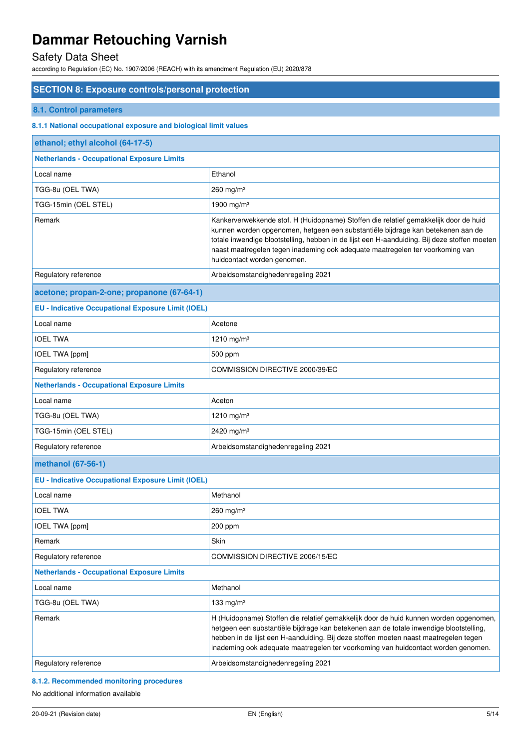## Safety Data Sheet

according to Regulation (EC) No. 1907/2006 (REACH) with its amendment Regulation (EU) 2020/878

## **SECTION 8: Exposure controls/personal protection**

### **8.1. Control parameters**

### **8.1.1 National occupational exposure and biological limit values**

| ethanol; ethyl alcohol (64-17-5)                          |                                                                                                                                                                                                                                                                                                                                                                                         |
|-----------------------------------------------------------|-----------------------------------------------------------------------------------------------------------------------------------------------------------------------------------------------------------------------------------------------------------------------------------------------------------------------------------------------------------------------------------------|
| <b>Netherlands - Occupational Exposure Limits</b>         |                                                                                                                                                                                                                                                                                                                                                                                         |
| Local name                                                | Ethanol                                                                                                                                                                                                                                                                                                                                                                                 |
| TGG-8u (OEL TWA)                                          | $260$ mg/m <sup>3</sup>                                                                                                                                                                                                                                                                                                                                                                 |
| TGG-15min (OEL STEL)                                      | 1900 mg/m <sup>3</sup>                                                                                                                                                                                                                                                                                                                                                                  |
| Remark                                                    | Kankerverwekkende stof. H (Huidopname) Stoffen die relatief gemakkelijk door de huid<br>kunnen worden opgenomen, hetgeen een substantiële bijdrage kan betekenen aan de<br>totale inwendige blootstelling, hebben in de lijst een H-aanduiding. Bij deze stoffen moeten<br>naast maatregelen tegen inademing ook adequate maatregelen ter voorkoming van<br>huidcontact worden genomen. |
| Regulatory reference                                      | Arbeidsomstandighedenregeling 2021                                                                                                                                                                                                                                                                                                                                                      |
| acetone; propan-2-one; propanone (67-64-1)                |                                                                                                                                                                                                                                                                                                                                                                                         |
| <b>EU - Indicative Occupational Exposure Limit (IOEL)</b> |                                                                                                                                                                                                                                                                                                                                                                                         |
| Local name                                                | Acetone                                                                                                                                                                                                                                                                                                                                                                                 |
| <b>IOEL TWA</b>                                           | 1210 mg/m <sup>3</sup>                                                                                                                                                                                                                                                                                                                                                                  |
| IOEL TWA [ppm]                                            | 500 ppm                                                                                                                                                                                                                                                                                                                                                                                 |
| Regulatory reference                                      | COMMISSION DIRECTIVE 2000/39/EC                                                                                                                                                                                                                                                                                                                                                         |
| <b>Netherlands - Occupational Exposure Limits</b>         |                                                                                                                                                                                                                                                                                                                                                                                         |
| Local name                                                | Aceton                                                                                                                                                                                                                                                                                                                                                                                  |
| TGG-8u (OEL TWA)                                          | 1210 mg/m <sup>3</sup>                                                                                                                                                                                                                                                                                                                                                                  |
| TGG-15min (OEL STEL)                                      | 2420 mg/m <sup>3</sup>                                                                                                                                                                                                                                                                                                                                                                  |
| Regulatory reference                                      | Arbeidsomstandighedenregeling 2021                                                                                                                                                                                                                                                                                                                                                      |
| methanol (67-56-1)                                        |                                                                                                                                                                                                                                                                                                                                                                                         |
| <b>EU - Indicative Occupational Exposure Limit (IOEL)</b> |                                                                                                                                                                                                                                                                                                                                                                                         |
| Local name                                                | Methanol                                                                                                                                                                                                                                                                                                                                                                                |
| <b>IOEL TWA</b>                                           | $260$ mg/m <sup>3</sup>                                                                                                                                                                                                                                                                                                                                                                 |
| IOEL TWA [ppm]                                            | 200 ppm                                                                                                                                                                                                                                                                                                                                                                                 |
| Remark                                                    | Skin                                                                                                                                                                                                                                                                                                                                                                                    |
| Regulatory reference                                      | COMMISSION DIRECTIVE 2006/15/EC                                                                                                                                                                                                                                                                                                                                                         |
| <b>Netherlands - Occupational Exposure Limits</b>         |                                                                                                                                                                                                                                                                                                                                                                                         |
| Local name                                                | Methanol                                                                                                                                                                                                                                                                                                                                                                                |
| TGG-8u (OEL TWA)                                          | 133 mg/m $3$                                                                                                                                                                                                                                                                                                                                                                            |
| Remark                                                    | H (Huidopname) Stoffen die relatief gemakkelijk door de huid kunnen worden opgenomen,<br>hetgeen een substantiële bijdrage kan betekenen aan de totale inwendige blootstelling,<br>hebben in de lijst een H-aanduiding. Bij deze stoffen moeten naast maatregelen tegen<br>inademing ook adequate maatregelen ter voorkoming van huidcontact worden genomen.                            |
| Regulatory reference                                      | Arbeidsomstandighedenregeling 2021                                                                                                                                                                                                                                                                                                                                                      |

### **8.1.2. Recommended monitoring procedures**

No additional information available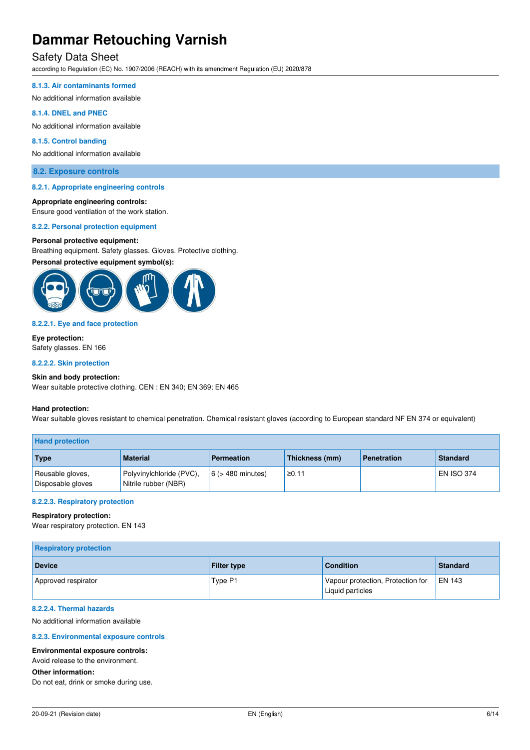## Safety Data Sheet

according to Regulation (EC) No. 1907/2006 (REACH) with its amendment Regulation (EU) 2020/878

#### **8.1.3. Air contaminants formed**

No additional information available

#### **8.1.4. DNEL and PNEC**

No additional information available

#### **8.1.5. Control banding**

No additional information available

#### **8.2. Exposure controls**

#### **8.2.1. Appropriate engineering controls**

#### **Appropriate engineering controls:**

Ensure good ventilation of the work station.

#### **8.2.2. Personal protection equipment**

#### **Personal protective equipment:**

Breathing equipment. Safety glasses. Gloves. Protective clothing.

#### **Personal protective equipment symbol(s):**



#### **8.2.2.1. Eye and face protection**

**Eye protection:**  Safety glasses. EN 166

#### **8.2.2.2. Skin protection**

#### **Skin and body protection:**

Wear suitable protective clothing. CEN : EN 340; EN 369; EN 465

#### **Hand protection:**

Wear suitable gloves resistant to chemical penetration. Chemical resistant gloves (according to European standard NF EN 374 or equivalent)

| <b>Hand protection</b>                |                                                  |                        |                |                    |                   |
|---------------------------------------|--------------------------------------------------|------------------------|----------------|--------------------|-------------------|
| Type                                  | <b>Material</b>                                  | <b>Permeation</b>      | Thickness (mm) | <b>Penetration</b> | <b>Standard</b>   |
| Reusable gloves,<br>Disposable gloves | Polyvinylchloride (PVC),<br>Nitrile rubber (NBR) | $6$ ( $>$ 480 minutes) | ≥0.11          |                    | <b>EN ISO 374</b> |

#### **8.2.2.3. Respiratory protection**

#### **Respiratory protection:**

Wear respiratory protection. EN 143

| <b>Respiratory protection</b> |                    |                                                       |          |  |
|-------------------------------|--------------------|-------------------------------------------------------|----------|--|
| <b>Device</b>                 | <b>Filter type</b> | <b>Condition</b>                                      | Standard |  |
| Approved respirator           | Type P1            | Vapour protection, Protection for<br>Liquid particles | I EN 143 |  |

#### **8.2.2.4. Thermal hazards**

No additional information available

#### **8.2.3. Environmental exposure controls**

#### **Environmental exposure controls:**

Avoid release to the environment.

#### **Other information:**

Do not eat, drink or smoke during use.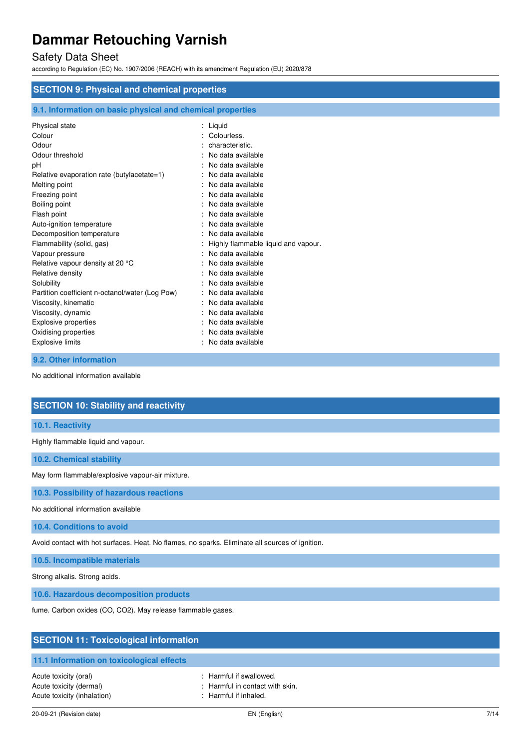## Safety Data Sheet

according to Regulation (EC) No. 1907/2006 (REACH) with its amendment Regulation (EU) 2020/878

| <b>SECTION 9: Physical and chemical properties</b>         |                                     |  |
|------------------------------------------------------------|-------------------------------------|--|
| 9.1. Information on basic physical and chemical properties |                                     |  |
| Physical state                                             | : Liquid                            |  |
| Colour                                                     | Colourless.                         |  |
| Odour                                                      | characteristic.                     |  |
| Odour threshold                                            | No data available                   |  |
| рH                                                         | No data available                   |  |
| Relative evaporation rate (butylacetate=1)                 | No data available                   |  |
| Melting point                                              | No data available                   |  |
| Freezing point                                             | No data available                   |  |
| Boiling point                                              | No data available                   |  |
| Flash point                                                | No data available                   |  |
| Auto-ignition temperature                                  | No data available                   |  |
| Decomposition temperature                                  | No data available                   |  |
| Flammability (solid, gas)                                  | Highly flammable liquid and vapour. |  |
| Vapour pressure                                            | No data available                   |  |
| Relative vapour density at 20 °C                           | No data available                   |  |
| Relative density                                           | No data available                   |  |
| Solubility                                                 | No data available                   |  |
| Partition coefficient n-octanol/water (Log Pow)            | No data available                   |  |
| Viscosity, kinematic                                       | No data available                   |  |
| Viscosity, dynamic                                         | No data available                   |  |
| Explosive properties                                       | No data available                   |  |
| Oxidising properties                                       | No data available                   |  |
| <b>Explosive limits</b>                                    | No data available                   |  |

### **9.2. Other information**

No additional information available

## **SECTION 10: Stability and reactivity**

## **10.1. Reactivity**

Highly flammable liquid and vapour.

**10.2. Chemical stability** 

May form flammable/explosive vapour-air mixture.

**10.3. Possibility of hazardous reactions** 

No additional information available

**10.4. Conditions to avoid** 

Avoid contact with hot surfaces. Heat. No flames, no sparks. Eliminate all sources of ignition.

### **10.5. Incompatible materials**

Strong alkalis. Strong acids.

**10.6. Hazardous decomposition products** 

fume. Carbon oxides (CO, CO2). May release flammable gases.

| <b>SECTION 11: Toxicological information</b>                                    |                                                                                                |  |
|---------------------------------------------------------------------------------|------------------------------------------------------------------------------------------------|--|
| 11.1 Information on toxicological effects                                       |                                                                                                |  |
| Acute toxicity (oral)<br>Acute toxicity (dermal)<br>Acute toxicity (inhalation) | : Harmful if swallowed.<br>: Harmful in contact with skin.<br>$\therefore$ Harmful if inhaled. |  |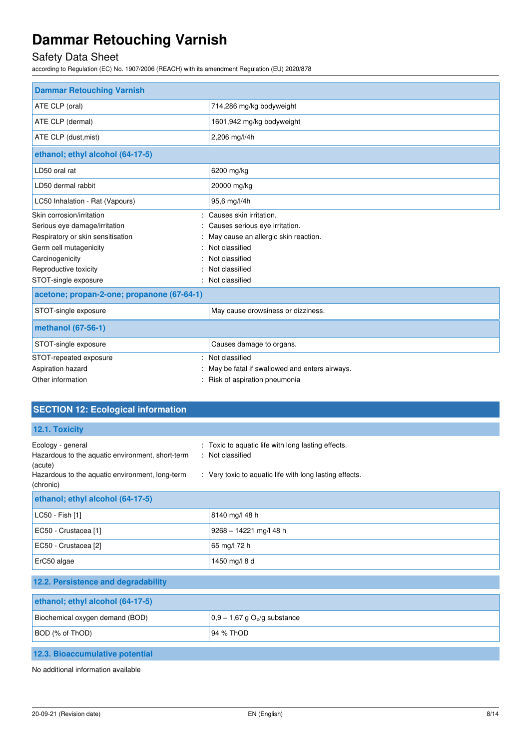## Safety Data Sheet

according to Regulation (EC) No. 1907/2006 (REACH) with its amendment Regulation (EU) 2020/878

| <b>Dammar Retouching Varnish</b>           |                                               |
|--------------------------------------------|-----------------------------------------------|
| ATE CLP (oral)                             | 714,286 mg/kg bodyweight                      |
| ATE CLP (dermal)                           | 1601,942 mg/kg bodyweight                     |
| ATE CLP (dust, mist)                       | 2,206 mg/l/4h                                 |
| ethanol; ethyl alcohol (64-17-5)           |                                               |
| LD50 oral rat                              | 6200 mg/kg                                    |
| LD50 dermal rabbit                         | 20000 mg/kg                                   |
| LC50 Inhalation - Rat (Vapours)            | 95,6 mg/l/4h                                  |
| Skin corrosion/irritation                  | Causes skin irritation.                       |
| Serious eye damage/irritation              | Causes serious eye irritation.                |
| Respiratory or skin sensitisation          | May cause an allergic skin reaction.          |
| Germ cell mutagenicity                     | Not classified                                |
| Carcinogenicity                            | Not classified                                |
| Reproductive toxicity                      | Not classified                                |
| STOT-single exposure                       | Not classified                                |
| acetone; propan-2-one; propanone (67-64-1) |                                               |
| STOT-single exposure                       | May cause drowsiness or dizziness.            |
| methanol (67-56-1)                         |                                               |
| STOT-single exposure                       | Causes damage to organs.                      |
| STOT-repeated exposure                     | Not classified                                |
| Aspiration hazard                          | May be fatal if swallowed and enters airways. |
| Other information                          | Risk of aspiration pneumonia                  |

| <b>SECTION 12: Ecological information</b>                                                                                                        |                                                                                                                                   |
|--------------------------------------------------------------------------------------------------------------------------------------------------|-----------------------------------------------------------------------------------------------------------------------------------|
| 12.1. Toxicity                                                                                                                                   |                                                                                                                                   |
| Ecology - general<br>Hazardous to the aquatic environment, short-term<br>(acute)<br>Hazardous to the aquatic environment, long-term<br>(chronic) | : Toxic to aquatic life with long lasting effects.<br>: Not classified<br>: Very toxic to aquatic life with long lasting effects. |
| ethanol; ethyl alcohol (64-17-5)                                                                                                                 |                                                                                                                                   |
| LC50 - Fish [1]                                                                                                                                  | 8140 mg/l 48 h                                                                                                                    |
| EC50 - Crustacea [1]                                                                                                                             | 9268 - 14221 mg/l 48 h                                                                                                            |
| EC50 - Crustacea [2]                                                                                                                             | 65 mg/l 72 h                                                                                                                      |
| ErC50 algae                                                                                                                                      | 1450 mg/l 8 d                                                                                                                     |
| 12.2. Persistence and degradability                                                                                                              |                                                                                                                                   |
| ethanol; ethyl alcohol (64-17-5)                                                                                                                 |                                                                                                                                   |
| Biochemical oxygen demand (BOD)                                                                                                                  | $0,9 - 1,67$ g O <sub>2</sub> /g substance                                                                                        |
| BOD (% of ThOD)                                                                                                                                  | 94 % ThOD                                                                                                                         |
| 12.3. Bioaccumulative potential                                                                                                                  |                                                                                                                                   |

No additional information available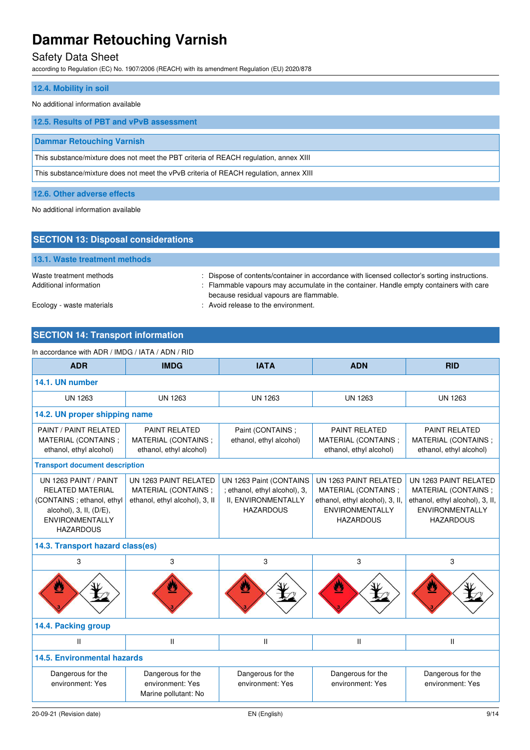## Safety Data Sheet

according to Regulation (EC) No. 1907/2006 (REACH) with its amendment Regulation (EU) 2020/878

## **12.4. Mobility in soil**

#### No additional information available

| 12.5. Results of PBT and vPvB assessment                                               |
|----------------------------------------------------------------------------------------|
| <b>Dammar Retouching Varnish</b>                                                       |
| This substance/mixture does not meet the PBT criteria of REACH regulation, annex XIII  |
| This substance/mixture does not meet the vPvB criteria of REACH regulation, annex XIII |
|                                                                                        |

**12.6. Other adverse effects** 

No additional information available

| <b>SECTION 13: Disposal considerations</b>        |                                                                                                                                                                                         |
|---------------------------------------------------|-----------------------------------------------------------------------------------------------------------------------------------------------------------------------------------------|
| 13.1. Waste treatment methods                     |                                                                                                                                                                                         |
| Waste treatment methods<br>Additional information | : Dispose of contents/container in accordance with licensed collector's sorting instructions.<br>: Flammable vapours may accumulate in the container. Handle empty containers with care |
| Ecology - waste materials                         | because residual vapours are flammable.<br>: Avoid release to the environment.                                                                                                          |

## **SECTION 14: Transport information**

#### In accordance with ADR / IMDG / IATA / ADN / RID

| <b>ADR</b>                                                                                                                                                   | <b>IMDG</b>                                                                    | <b>IATA</b>                                                                                         | <b>ADN</b>                                                                                                                    | <b>RID</b>                                                                                                                    |
|--------------------------------------------------------------------------------------------------------------------------------------------------------------|--------------------------------------------------------------------------------|-----------------------------------------------------------------------------------------------------|-------------------------------------------------------------------------------------------------------------------------------|-------------------------------------------------------------------------------------------------------------------------------|
| 14.1. UN number                                                                                                                                              |                                                                                |                                                                                                     |                                                                                                                               |                                                                                                                               |
| <b>UN 1263</b>                                                                                                                                               | <b>UN 1263</b>                                                                 | <b>UN 1263</b>                                                                                      | <b>UN 1263</b>                                                                                                                | <b>UN 1263</b>                                                                                                                |
| 14.2. UN proper shipping name                                                                                                                                |                                                                                |                                                                                                     |                                                                                                                               |                                                                                                                               |
| PAINT / PAINT RELATED<br>MATERIAL (CONTAINS;<br>ethanol, ethyl alcohol)                                                                                      | <b>PAINT RELATED</b><br>MATERIAL (CONTAINS;<br>ethanol, ethyl alcohol)         | Paint (CONTAINS ;<br>ethanol, ethyl alcohol)                                                        | <b>PAINT RELATED</b><br>MATERIAL (CONTAINS;<br>ethanol, ethyl alcohol)                                                        | <b>PAINT RELATED</b><br>MATERIAL (CONTAINS;<br>ethanol, ethyl alcohol)                                                        |
| <b>Transport document description</b>                                                                                                                        |                                                                                |                                                                                                     |                                                                                                                               |                                                                                                                               |
| UN 1263 PAINT / PAINT<br><b>RELATED MATERIAL</b><br>(CONTAINS; ethanol, ethyl<br>alcohol), $3$ , II, $(D/E)$ ,<br><b>ENVIRONMENTALLY</b><br><b>HAZARDOUS</b> | UN 1263 PAINT RELATED<br>MATERIAL (CONTAINS;<br>ethanol, ethyl alcohol), 3, II | UN 1263 Paint (CONTAINS<br>; ethanol, ethyl alcohol), 3,<br>II, ENVIRONMENTALLY<br><b>HAZARDOUS</b> | UN 1263 PAINT RELATED<br>MATERIAL (CONTAINS;<br>ethanol, ethyl alcohol), 3, II,<br><b>ENVIRONMENTALLY</b><br><b>HAZARDOUS</b> | UN 1263 PAINT RELATED<br>MATERIAL (CONTAINS;<br>ethanol, ethyl alcohol), 3, II,<br><b>ENVIRONMENTALLY</b><br><b>HAZARDOUS</b> |
| 14.3. Transport hazard class(es)                                                                                                                             |                                                                                |                                                                                                     |                                                                                                                               |                                                                                                                               |
| 3                                                                                                                                                            | 3                                                                              | 3                                                                                                   | 3                                                                                                                             | 3                                                                                                                             |
|                                                                                                                                                              |                                                                                |                                                                                                     |                                                                                                                               |                                                                                                                               |
| 14.4. Packing group                                                                                                                                          |                                                                                |                                                                                                     |                                                                                                                               |                                                                                                                               |
| $\mathbf{II}$                                                                                                                                                | Ш                                                                              | $\mathsf{II}$                                                                                       | Ш                                                                                                                             | $\mathbf{II}$                                                                                                                 |
| <b>14.5. Environmental hazards</b>                                                                                                                           |                                                                                |                                                                                                     |                                                                                                                               |                                                                                                                               |
| Dangerous for the<br>environment: Yes                                                                                                                        | Dangerous for the<br>environment: Yes<br>Marine pollutant: No                  | Dangerous for the<br>environment: Yes                                                               | Dangerous for the<br>environment: Yes                                                                                         | Dangerous for the<br>environment: Yes                                                                                         |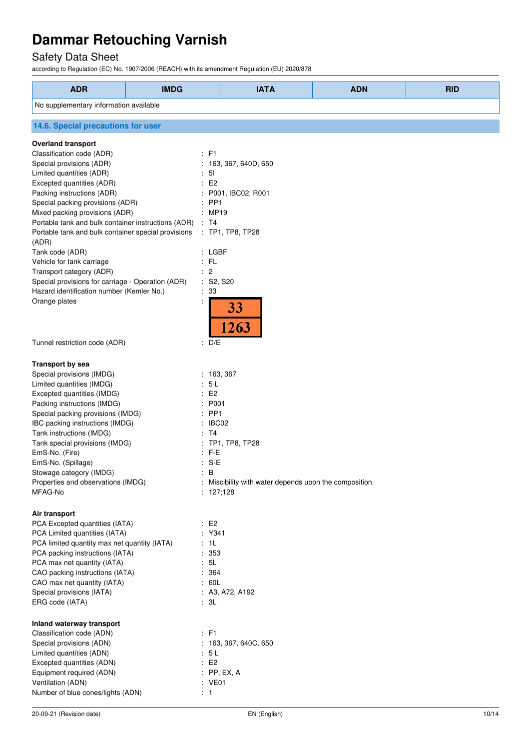## Safety Data Sheet

according to Regulation (EC) No. 1907/2006 (REACH) with its amendment Regulation (EU) 2020/878

| <b>ADR</b>                                                   | <b>IMDG</b>              | <b>IATA</b>                                            | <b>ADN</b> | <b>RID</b> |  |
|--------------------------------------------------------------|--------------------------|--------------------------------------------------------|------------|------------|--|
| No supplementary information available                       |                          |                                                        |            |            |  |
| 14.6. Special precautions for user                           |                          |                                                        |            |            |  |
| <b>Overland transport</b>                                    |                          |                                                        |            |            |  |
| Classification code (ADR)                                    | $\div$ F1                |                                                        |            |            |  |
| Special provisions (ADR)                                     |                          | : 163, 367, 640D, 650                                  |            |            |  |
| Limited quantities (ADR)                                     | $\therefore$ 51          |                                                        |            |            |  |
| Excepted quantities (ADR)                                    | E2                       |                                                        |            |            |  |
| Packing instructions (ADR)                                   |                          | : P001, IBC02, R001                                    |            |            |  |
| Special packing provisions (ADR)                             | : PP1                    |                                                        |            |            |  |
| Mixed packing provisions (ADR)                               | : MP19                   |                                                        |            |            |  |
| Portable tank and bulk container instructions (ADR)          | : T4                     |                                                        |            |            |  |
| Portable tank and bulk container special provisions<br>(ADR) |                          | : TP1, TP8, TP28                                       |            |            |  |
| Tank code (ADR)                                              | $:$ LGBF                 |                                                        |            |            |  |
| Vehicle for tank carriage                                    | $:$ FL                   |                                                        |            |            |  |
| Transport category (ADR)                                     | : 2                      |                                                        |            |            |  |
| Special provisions for carriage - Operation (ADR)            | : S2, S20                |                                                        |            |            |  |
| Hazard identification number (Kemler No.)                    | $\therefore$ 33          |                                                        |            |            |  |
| Orange plates                                                |                          |                                                        |            |            |  |
|                                                              |                          | 33<br>263                                              |            |            |  |
| Tunnel restriction code (ADR)                                | : D/E                    |                                                        |            |            |  |
| <b>Transport by sea</b>                                      |                          |                                                        |            |            |  |
| Special provisions (IMDG)                                    |                          | : 163, 367                                             |            |            |  |
| Limited quantities (IMDG)                                    | : 5L                     |                                                        |            |            |  |
| Excepted quantities (IMDG)                                   | E2                       |                                                        |            |            |  |
| Packing instructions (IMDG)                                  | : P001                   |                                                        |            |            |  |
| Special packing provisions (IMDG)                            | : PP1                    |                                                        |            |            |  |
| IBC packing instructions (IMDG)                              | : IBC02                  |                                                        |            |            |  |
| Tank instructions (IMDG)                                     | : T4                     |                                                        |            |            |  |
| Tank special provisions (IMDG)                               |                          | : TP1, TP8, TP28                                       |            |            |  |
| EmS-No. (Fire)                                               | $:$ F-E                  |                                                        |            |            |  |
| EmS-No. (Spillage)                                           | $: S-E$                  |                                                        |            |            |  |
| Stowage category (IMDG)                                      | $\therefore$ B           |                                                        |            |            |  |
| Properties and observations (IMDG)                           |                          | : Miscibility with water depends upon the composition. |            |            |  |
| MFAG-No                                                      |                          | : 127;128                                              |            |            |  |
| Air transport                                                |                          |                                                        |            |            |  |
| PCA Excepted quantities (IATA)                               | $\therefore$ E2          |                                                        |            |            |  |
| PCA Limited quantities (IATA)                                | : Y341                   |                                                        |            |            |  |
| PCA limited quantity max net quantity (IATA)                 | : 1L                     |                                                        |            |            |  |
| PCA packing instructions (IATA)                              | : 353                    |                                                        |            |            |  |
| PCA max net quantity (IATA)                                  | : 5L                     |                                                        |            |            |  |
| CAO packing instructions (IATA)                              |                          | : 364                                                  |            |            |  |
| CAO max net quantity (IATA)                                  |                          | : 60L                                                  |            |            |  |
| Special provisions (IATA)                                    |                          | : A3, A72, A192                                        |            |            |  |
| ERG code (IATA)                                              | : 3L                     |                                                        |            |            |  |
| Inland waterway transport                                    |                          |                                                        |            |            |  |
| Classification code (ADN)                                    | : F1                     |                                                        |            |            |  |
| Special provisions (ADN)                                     |                          | : 163, 367, 640C, 650                                  |            |            |  |
| Limited quantities (ADN)                                     | : 5L                     |                                                        |            |            |  |
| Excepted quantities (ADN)                                    | E2                       |                                                        |            |            |  |
| Equipment required (ADN)                                     |                          | $:$ PP, EX, A                                          |            |            |  |
| Ventilation (ADN)                                            | : VE01<br>$\therefore$ 1 |                                                        |            |            |  |
| Number of blue cones/lights (ADN)                            |                          |                                                        |            |            |  |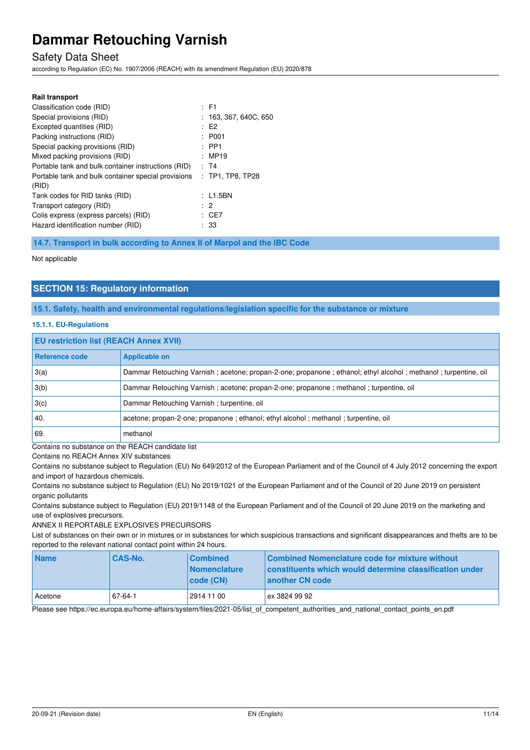## Safety Data Sheet

according to Regulation (EC) No. 1907/2006 (REACH) with its amendment Regulation (EU) 2020/878

| <b>Rail transport</b>                                        |                              |
|--------------------------------------------------------------|------------------------------|
| Classification code (RID)                                    | $\pm$ F1                     |
| Special provisions (RID)                                     | $: \; 163,367,640 \$ {G},650 |
| Excepted quantities (RID)                                    | E2                           |
| Packing instructions (RID)                                   | : P001                       |
| Special packing provisions (RID)                             | $:$ PP1                      |
| Mixed packing provisions (RID)                               | : MP19                       |
| Portable tank and bulk container instructions (RID)          | : T4                         |
| Portable tank and bulk container special provisions<br>(RID) | $:$ TP1. TP8. TP28           |
| Tank codes for RID tanks (RID)                               | : L1.5BN                     |
| Transport category (RID)                                     | : 2                          |
| Colis express (express parcels) (RID)                        | : CE7                        |
| Hazard identification number (RID)                           | : 33                         |

**14.7. Transport in bulk according to Annex II of Marpol and the IBC Code** 

Not applicable

## **SECTION 15: Regulatory information**

**15.1. Safety, health and environmental regulations/legislation specific for the substance or mixture** 

#### **15.1.1. EU-Regulations**

#### **EU restriction list (REACH Annex XVII)**

| Reference code | <b>Applicable on</b>                                                                                           |
|----------------|----------------------------------------------------------------------------------------------------------------|
| 3(a)           | Dammar Retouching Varnish; acetone; propan-2-one; propanone; ethanol; ethyl alcohol; methanol; turpentine, oil |
| 3(b)           | Dammar Retouching Varnish; acetone; propan-2-one; propanone; methanol; turpentine, oil                         |
| 3(c)           | Dammar Retouching Varnish; turpentine, oil                                                                     |
| 40.            | acetone; propan-2-one; propanone; ethanol; ethyl alcohol; methanol; turpentine, oil                            |
| 69             | methanol                                                                                                       |

Contains no substance on the REACH candidate list

Contains no REACH Annex XIV substances

Contains no substance subject to Regulation (EU) No 649/2012 of the European Parliament and of the Council of 4 July 2012 concerning the export and import of hazardous chemicals.

Contains no substance subject to Regulation (EU) No 2019/1021 of the European Parliament and of the Council of 20 June 2019 on persistent organic pollutants

Contains substance subject to Regulation (EU) 2019/1148 of the European Parliament and of the Council of 20 June 2019 on the marketing and use of explosives precursors.

ANNEX II REPORTABLE EXPLOSIVES PRECURSORS

List of substances on their own or in mixtures or in substances for which suspicious transactions and significant disappearances and thefts are to be reported to the relevant national contact point within 24 hours.

| <b>Name</b> | <b>CAS-No.</b> | <b>Combined</b><br><b>Nomenclature</b><br>  code (CN) | Combined Nomenclature code for mixture without<br>constituents which would determine classification under<br>another CN code |
|-------------|----------------|-------------------------------------------------------|------------------------------------------------------------------------------------------------------------------------------|
| l Acetone   | 67-64-1        | 2914 11 00                                            | ex 3824 99 92                                                                                                                |

Please see https://ec.europa.eu/home-affairs/system/files/2021-05/list\_of\_competent\_authorities\_and\_national\_contact\_points\_en.pdf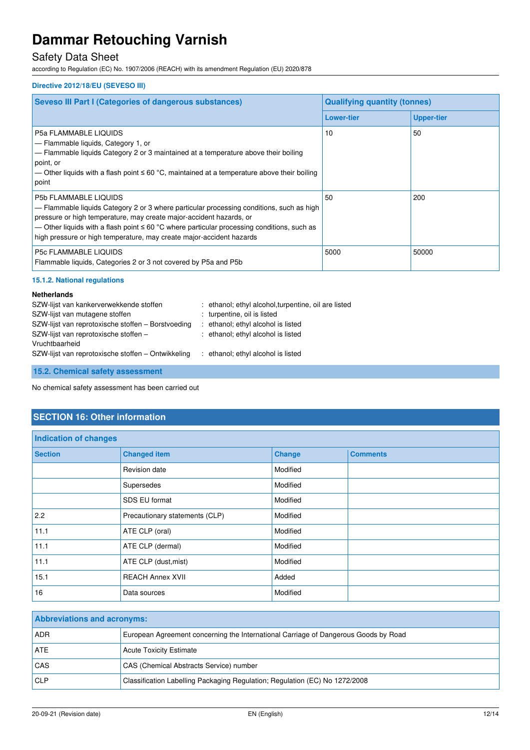## Safety Data Sheet

according to Regulation (EC) No. 1907/2006 (REACH) with its amendment Regulation (EU) 2020/878

### **Directive 2012/18/EU (SEVESO III)**

| <b>Seveso III Part I (Categories of dangerous substances)</b>                                                                                                                                                                                                                                                                                                           | <b>Qualifying quantity (tonnes)</b> |                   |  |
|-------------------------------------------------------------------------------------------------------------------------------------------------------------------------------------------------------------------------------------------------------------------------------------------------------------------------------------------------------------------------|-------------------------------------|-------------------|--|
|                                                                                                                                                                                                                                                                                                                                                                         | <b>Lower-tier</b>                   | <b>Upper-tier</b> |  |
| <b>P5a FLAMMABLE LIQUIDS</b><br>$-$ Flammable liquids, Category 1, or<br>$-$ Flammable liquids Category 2 or 3 maintained at a temperature above their boiling<br>point, or<br>— Other liquids with a flash point $\leq 60$ °C, maintained at a temperature above their boiling<br>point                                                                                | 10                                  | 50                |  |
| <b>P5b FLAMMABLE LIQUIDS</b><br>$-$ Flammable liquids Category 2 or 3 where particular processing conditions, such as high<br>pressure or high temperature, may create major-accident hazards, or<br>— Other liquids with a flash point ≤ 60 °C where particular processing conditions, such as<br>high pressure or high temperature, may create major-accident hazards | 50                                  | 200               |  |
| <b>P5c FLAMMABLE LIQUIDS</b><br>Flammable liquids, Categories 2 or 3 not covered by P5a and P5b                                                                                                                                                                                                                                                                         | 5000                                | 50000             |  |

### **15.1.2. National regulations**

#### **Netherlands**

| SZW-lijst van kankerverwekkende stoffen            | : ethanol; ethyl alcohol, turpentine, oil are listed |
|----------------------------------------------------|------------------------------------------------------|
| SZW-lijst van mutagene stoffen                     | : turpentine, oil is listed                          |
| SZW-lijst van reprotoxische stoffen - Borstvoeding | : ethanol; ethyl alcohol is listed                   |
| SZW-lijst van reprotoxische stoffen -              | : ethanol; ethyl alcohol is listed                   |
| Vruchtbaarheid                                     |                                                      |
| SZW-lijst van reprotoxische stoffen – Ontwikkeling | : ethanol; ethyl alcohol is listed                   |
|                                                    |                                                      |

**15.2. Chemical safety assessment** 

No chemical safety assessment has been carried out

## **SECTION 16: Other information**

| Indication of changes |                                |               |                 |
|-----------------------|--------------------------------|---------------|-----------------|
| <b>Section</b>        | <b>Changed item</b>            | <b>Change</b> | <b>Comments</b> |
|                       | Revision date                  | Modified      |                 |
|                       | Supersedes                     | Modified      |                 |
|                       | SDS EU format                  | Modified      |                 |
| 2.2                   | Precautionary statements (CLP) | Modified      |                 |
| 11.1                  | ATE CLP (oral)                 | Modified      |                 |
| 11.1                  | ATE CLP (dermal)               | Modified      |                 |
| 11.1                  | ATE CLP (dust, mist)           | Modified      |                 |
| 15.1                  | <b>REACH Annex XVII</b>        | Added         |                 |
| 16                    | Data sources                   | Modified      |                 |

| <b>Abbreviations and acronyms:</b> |                                                                                     |  |
|------------------------------------|-------------------------------------------------------------------------------------|--|
| <b>ADR</b>                         | European Agreement concerning the International Carriage of Dangerous Goods by Road |  |
| <b>ATE</b>                         | Acute Toxicity Estimate                                                             |  |
| <b>CAS</b>                         | CAS (Chemical Abstracts Service) number                                             |  |
| CLP                                | Classification Labelling Packaging Regulation; Regulation (EC) No 1272/2008         |  |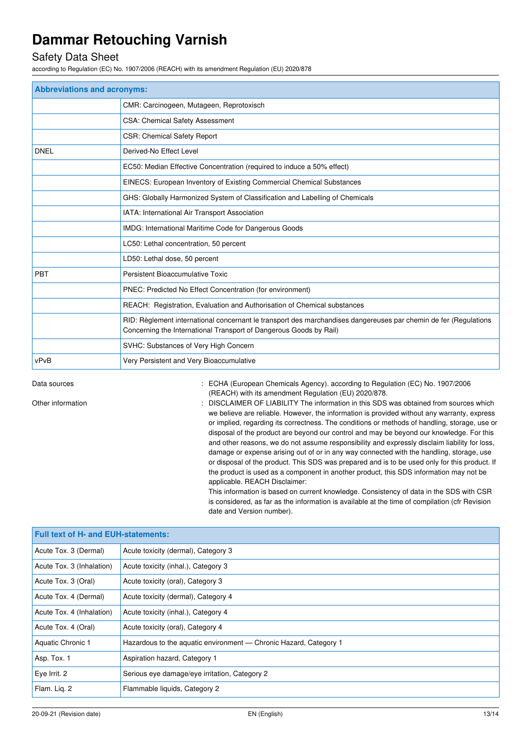## Safety Data Sheet

according to Regulation (EC) No. 1907/2006 (REACH) with its amendment Regulation (EU) 2020/878

| <b>Abbreviations and acronyms:</b> |                                                                                                                                                                                        |  |
|------------------------------------|----------------------------------------------------------------------------------------------------------------------------------------------------------------------------------------|--|
|                                    | CMR: Carcinogeen, Mutageen, Reprotoxisch                                                                                                                                               |  |
|                                    | CSA: Chemical Safety Assessment                                                                                                                                                        |  |
|                                    | <b>CSR: Chemical Safety Report</b>                                                                                                                                                     |  |
| <b>DNEL</b>                        | Derived-No Effect Level                                                                                                                                                                |  |
|                                    | EC50: Median Effective Concentration (required to induce a 50% effect)                                                                                                                 |  |
|                                    | EINECS: European Inventory of Existing Commercial Chemical Substances                                                                                                                  |  |
|                                    | GHS: Globally Harmonized System of Classification and Labelling of Chemicals                                                                                                           |  |
|                                    | IATA: International Air Transport Association                                                                                                                                          |  |
|                                    | IMDG: International Maritime Code for Dangerous Goods                                                                                                                                  |  |
|                                    | LC50: Lethal concentration, 50 percent                                                                                                                                                 |  |
|                                    | LD50: Lethal dose, 50 percent                                                                                                                                                          |  |
| <b>PBT</b>                         | Persistent Bioaccumulative Toxic                                                                                                                                                       |  |
|                                    | PNEC: Predicted No Effect Concentration (for environment)                                                                                                                              |  |
|                                    | REACH: Registration, Evaluation and Authorisation of Chemical substances                                                                                                               |  |
|                                    | RID: Règlement international concernant le transport des marchandises dangereuses par chemin de fer (Regulations<br>Concerning the International Transport of Dangerous Goods by Rail) |  |
|                                    | SVHC: Substances of Very High Concern                                                                                                                                                  |  |
| vPvB                               | Very Persistent and Very Bioaccumulative                                                                                                                                               |  |

Data sources **1997/2006** : ECHA (European Chemicals Agency). according to Regulation (EC) No. 1907/2006 (REACH) with its amendment Regulation (EU) 2020/878.

Other information **interest in the information** : DISCLAIMER OF LIABILITY The information in this SDS was obtained from sources which we believe are reliable. However, the information is provided without any warranty, express or implied, regarding its correctness. The conditions or methods of handling, storage, use or disposal of the product are beyond our control and may be beyond our knowledge. For this and other reasons, we do not assume responsibility and expressly disclaim liability for loss, damage or expense arising out of or in any way connected with the handling, storage, use or disposal of the product. This SDS was prepared and is to be used only for this product. If the product is used as a component in another product, this SDS information may not be applicable. REACH Disclaimer:

This information is based on current knowledge. Consistency of data in the SDS with CSR is considered, as far as the information is available at the time of compilation (cfr Revision date and Version number).

| <b>Full text of H- and EUH-statements:</b> |                                                                   |  |
|--------------------------------------------|-------------------------------------------------------------------|--|
| Acute Tox. 3 (Dermal)                      | Acute toxicity (dermal), Category 3                               |  |
| Acute Tox. 3 (Inhalation)                  | Acute toxicity (inhal.), Category 3                               |  |
| Acute Tox. 3 (Oral)                        | Acute toxicity (oral), Category 3                                 |  |
| Acute Tox. 4 (Dermal)                      | Acute toxicity (dermal), Category 4                               |  |
| Acute Tox. 4 (Inhalation)                  | Acute toxicity (inhal.), Category 4                               |  |
| Acute Tox. 4 (Oral)                        | Acute toxicity (oral), Category 4                                 |  |
| <b>Aquatic Chronic 1</b>                   | Hazardous to the aquatic environment - Chronic Hazard, Category 1 |  |
| Asp. Tox. 1                                | Aspiration hazard, Category 1                                     |  |
| Eye Irrit. 2                               | Serious eye damage/eye irritation, Category 2                     |  |
| Flam. Lig. 2                               | Flammable liquids, Category 2                                     |  |